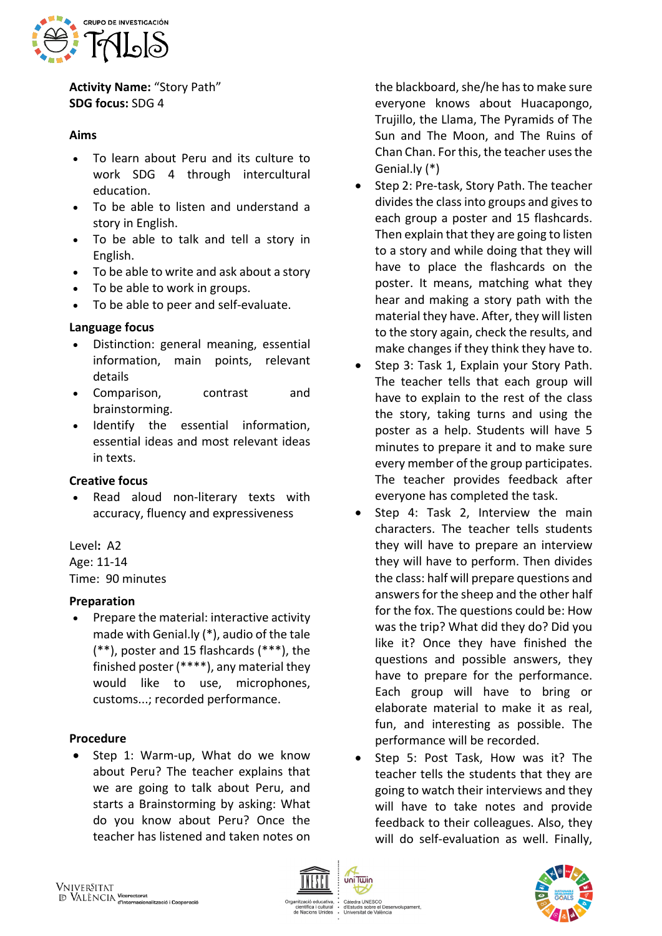

**Activity Name:** "Story Path" **SDG focus:** SDG 4

## **Aims**

- To learn about Peru and its culture to work SDG 4 through intercultural education.
- To be able to listen and understand a story in English.
- To be able to talk and tell a story in English.
- To be able to write and ask about a story
- To be able to work in groups.
- To be able to peer and self-evaluate.

# **Language focus**

- Distinction: general meaning, essential information, main points, relevant details
- Comparison, contrast and brainstorming.
- Identify the essential information, essential ideas and most relevant ideas in texts.

# **Creative focus**

Read aloud non-literary texts with accuracy, fluency and expressiveness

### Level**:** A2

Age: 11-14

Time: 90 minutes

### **Preparation**

• Prepare the material: interactive activity made with Genial.ly (\*), audio of the tale (\*\*), poster and 15 flashcards (\*\*\*), the finished poster (\*\*\*\*), any material they would like to use, microphones, customs...; recorded performance.

### **Procedure**

• Step 1: Warm-up, What do we know about Peru? The teacher explains that we are going to talk about Peru, and starts a Brainstorming by asking: What do you know about Peru? Once the teacher has listened and taken notes on

the blackboard, she/he has to make sure everyone knows about Huacapongo, Trujillo, the Llama, The Pyramids of The Sun and The Moon, and The Ruins of Chan Chan. For this, the teacher uses the Genial.ly (\*)

- Step 2: Pre-task, Story Path. The teacher divides the class into groups and gives to each group a poster and 15 flashcards. Then explain that they are going to listen to a story and while doing that they will have to place the flashcards on the poster. It means, matching what they hear and making a story path with the material they have. After, they will listen to the story again, check the results, and make changes if they think they have to.
- Step 3: Task 1, Explain your Story Path. The teacher tells that each group will have to explain to the rest of the class the story, taking turns and using the poster as a help. Students will have 5 minutes to prepare it and to make sure every member of the group participates. The teacher provides feedback after everyone has completed the task.
- Step 4: Task 2, Interview the main characters. The teacher tells students they will have to prepare an interview they will have to perform. Then divides the class: half will prepare questions and answers for the sheep and the other half for the fox. The questions could be: How was the trip? What did they do? Did you like it? Once they have finished the questions and possible answers, they have to prepare for the performance. Each group will have to bring or elaborate material to make it as real, fun, and interesting as possible. The performance will be recorded.
- Step 5: Post Task, How was it? The teacher tells the students that they are going to watch their interviews and they will have to take notes and provide feedback to their colleagues. Also, they will do self-evaluation as well. Finally,



uniTwin

Càtedra UNESCO<br>d'Estudis sobre el Desenvolupament uis sobre el Des<br>sitat de València

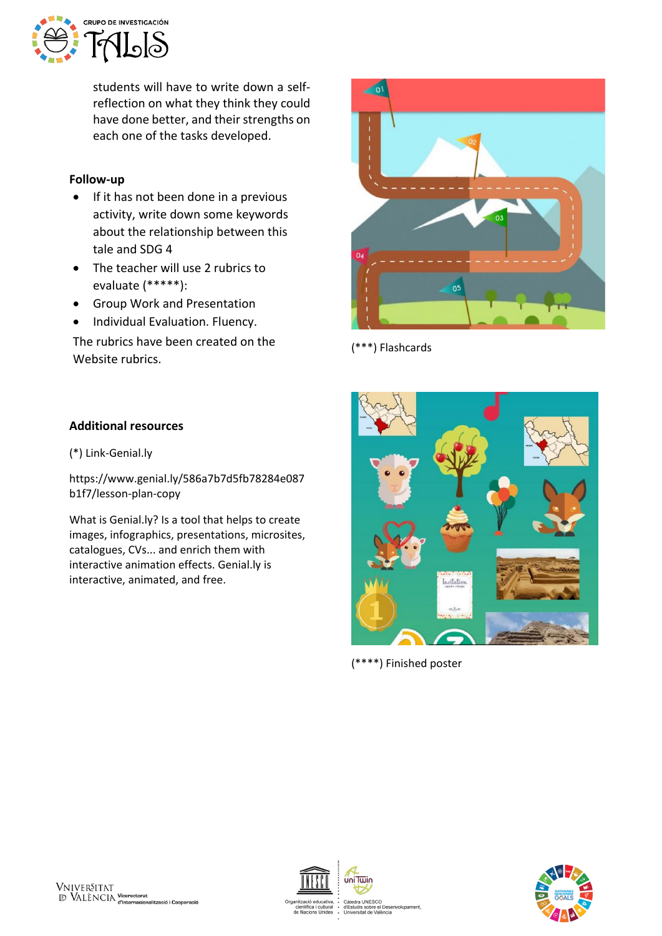

students will have to write down a selfreflection on what they think they could have done better, and their strengths on each one of the tasks developed.

### **Follow-up**

- If it has not been done in a previous activity, write down some keywords about the relationship between this tale and SDG 4
- The teacher will use 2 rubrics to evaluate (\*\*\*\*\*):
- Group Work and Presentation
- Individual Evaluation. Fluency.

The rubrics have been created on the Website rubrics.

# **Additional resources**

(\*) Link-Genial.ly

https://www.genial.ly/586a7b7d5fb78284e087 b1f7/lesson-plan-copy

What is Genial.ly? Is a tool that helps to create images, infographics, presentations, microsites, catalogues, CVs... and enrich them with interactive animation effects. Genial.ly is interactive, animated, and free.



(\*\*\*) Flashcards



(\*\*\*\*) Finished poster





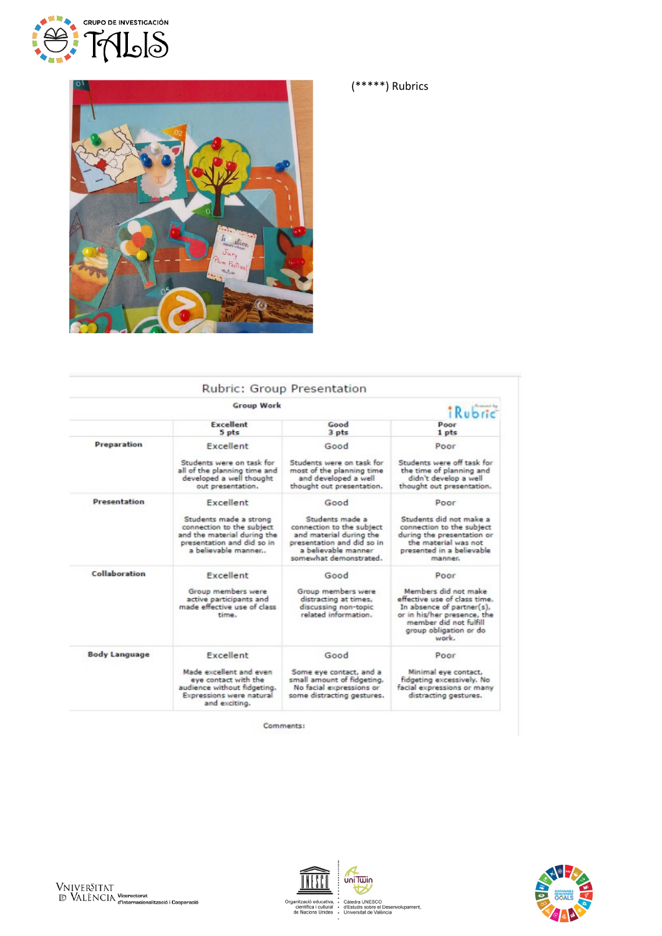



|                      | <b>Group Work</b>                                                                                                                       |                                                                                                                                                        | Personal Ry<br><b>Rubric</b>                                                                                                                                                  |
|----------------------|-----------------------------------------------------------------------------------------------------------------------------------------|--------------------------------------------------------------------------------------------------------------------------------------------------------|-------------------------------------------------------------------------------------------------------------------------------------------------------------------------------|
|                      | <b>Excellent</b><br>5 pts                                                                                                               | Good<br>3 <sub>pts</sub>                                                                                                                               | Poor<br>1 pts                                                                                                                                                                 |
| Preparation          | Excellent<br>Students were on task for                                                                                                  | Good<br>Students were on task for                                                                                                                      | Poor<br>Students were off task for                                                                                                                                            |
|                      | all of the planning time and<br>developed a well thought<br>out presentation.                                                           | most of the planning time<br>and developed a well<br>thought out presentation.                                                                         | the time of planning and<br>didn't develop a well<br>thought out presentation.                                                                                                |
| <b>Presentation</b>  | Excellent                                                                                                                               | Good                                                                                                                                                   | Poor                                                                                                                                                                          |
|                      | Students made a strong<br>connection to the subject<br>and the material during the<br>presentation and did so in<br>a believable manner | Students made a<br>connection to the subject<br>and material during the<br>presentation and did so in<br>a believable manner<br>somewhat demonstrated. | Students did not make a<br>connection to the subject<br>during the presentation or<br>the material was not<br>presented in a believable<br>manner.                            |
| Collaboration        | Excellent                                                                                                                               | Good                                                                                                                                                   | Poor                                                                                                                                                                          |
|                      | Group members were<br>active participants and<br>made effective use of class<br>time.                                                   | Group members were<br>distracting at times,<br>discussing non-topic<br>related information.                                                            | Members did not make<br>effective use of class time.<br>In absence of partner(s),<br>or in his/her presence, the<br>member did not fulfill<br>group obligation or do<br>work. |
| <b>Body Language</b> | Excellent                                                                                                                               | Good                                                                                                                                                   | Poor                                                                                                                                                                          |
|                      | Made excellent and even<br>eye contact with the<br>audience without fidgeting.<br>Expressions were natural<br>and exciting.             | Some eye contact, and a<br>small amount of fidgeting.<br>No facial expressions or<br>some distracting gestures.                                        | Minimal eye contact,<br>fidgeting excessively. No<br>facial expressions or many<br>distracting gestures.                                                                      |

Comments:

NFS I



(\*\*\*\*\*) Rubrics